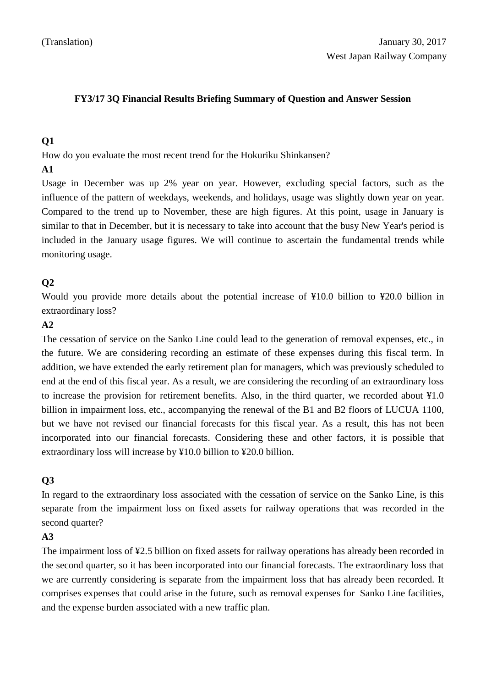### **FY3/17 3Q Financial Results Briefing Summary of Question and Answer Session**

## **Q1**

How do you evaluate the most recent trend for the Hokuriku Shinkansen?

#### **A1**

Usage in December was up 2% year on year. However, excluding special factors, such as the influence of the pattern of weekdays, weekends, and holidays, usage was slightly down year on year. Compared to the trend up to November, these are high figures. At this point, usage in January is similar to that in December, but it is necessary to take into account that the busy New Year's period is included in the January usage figures. We will continue to ascertain the fundamental trends while monitoring usage.

# **Q2**

Would you provide more details about the potential increase of ¥10.0 billion to ¥20.0 billion in extraordinary loss?

### **A2**

The cessation of service on the Sanko Line could lead to the generation of removal expenses, etc., in the future. We are considering recording an estimate of these expenses during this fiscal term. In addition, we have extended the early retirement plan for managers, which was previously scheduled to end at the end of this fiscal year. As a result, we are considering the recording of an extraordinary loss to increase the provision for retirement benefits. Also, in the third quarter, we recorded about ¥1.0 billion in impairment loss, etc., accompanying the renewal of the B1 and B2 floors of LUCUA 1100, but we have not revised our financial forecasts for this fiscal year. As a result, this has not been incorporated into our financial forecasts. Considering these and other factors, it is possible that extraordinary loss will increase by ¥10.0 billion to ¥20.0 billion.

# **Q3**

In regard to the extraordinary loss associated with the cessation of service on the Sanko Line, is this separate from the impairment loss on fixed assets for railway operations that was recorded in the second quarter?

### **A3**

The impairment loss of ¥2.5 billion on fixed assets for railway operations has already been recorded in the second quarter, so it has been incorporated into our financial forecasts. The extraordinary loss that we are currently considering is separate from the impairment loss that has already been recorded. It comprises expenses that could arise in the future, such as removal expenses for Sanko Line facilities, and the expense burden associated with a new traffic plan.